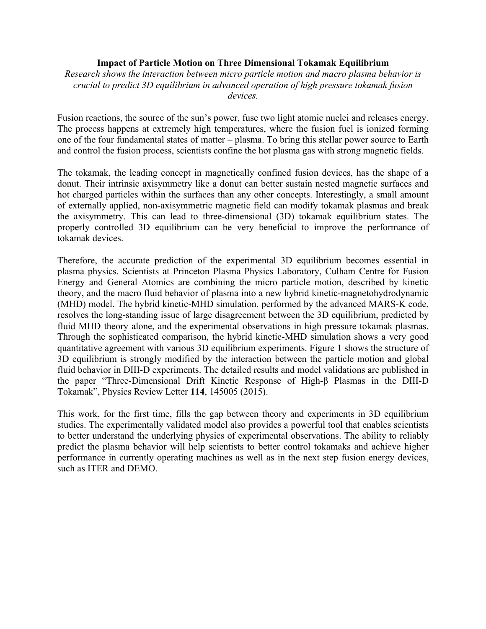## **Impact of Particle Motion on Three Dimensional Tokamak Equilibrium**

*Research shows the interaction between micro particle motion and macro plasma behavior is crucial to predict 3D equilibrium in advanced operation of high pressure tokamak fusion devices.*

Fusion reactions, the source of the sun's power, fuse two light atomic nuclei and releases energy. The process happens at extremely high temperatures, where the fusion fuel is ionized forming one of the four fundamental states of matter – plasma. To bring this stellar power source to Earth and control the fusion process, scientists confine the hot plasma gas with strong magnetic fields.

The tokamak, the leading concept in magnetically confined fusion devices, has the shape of a donut. Their intrinsic axisymmetry like a donut can better sustain nested magnetic surfaces and hot charged particles within the surfaces than any other concepts. Interestingly, a small amount of externally applied, non-axisymmetric magnetic field can modify tokamak plasmas and break the axisymmetry. This can lead to three-dimensional (3D) tokamak equilibrium states. The properly controlled 3D equilibrium can be very beneficial to improve the performance of tokamak devices.

Therefore, the accurate prediction of the experimental 3D equilibrium becomes essential in plasma physics. Scientists at Princeton Plasma Physics Laboratory, Culham Centre for Fusion Energy and General Atomics are combining the micro particle motion, described by kinetic theory, and the macro fluid behavior of plasma into a new hybrid kinetic-magnetohydrodynamic (MHD) model. The hybrid kinetic-MHD simulation, performed by the advanced MARS-K code, resolves the long-standing issue of large disagreement between the 3D equilibrium, predicted by fluid MHD theory alone, and the experimental observations in high pressure tokamak plasmas. Through the sophisticated comparison, the hybrid kinetic-MHD simulation shows a very good quantitative agreement with various 3D equilibrium experiments. Figure 1 shows the structure of 3D equilibrium is strongly modified by the interaction between the particle motion and global fluid behavior in DIII-D experiments. The detailed results and model validations are published in the paper "Three-Dimensional Drift Kinetic Response of High-β Plasmas in the DIII-D Tokamak", Physics Review Letter **114**, 145005 (2015).

This work, for the first time, fills the gap between theory and experiments in 3D equilibrium studies. The experimentally validated model also provides a powerful tool that enables scientists to better understand the underlying physics of experimental observations. The ability to reliably predict the plasma behavior will help scientists to better control tokamaks and achieve higher performance in currently operating machines as well as in the next step fusion energy devices, such as ITER and DEMO.